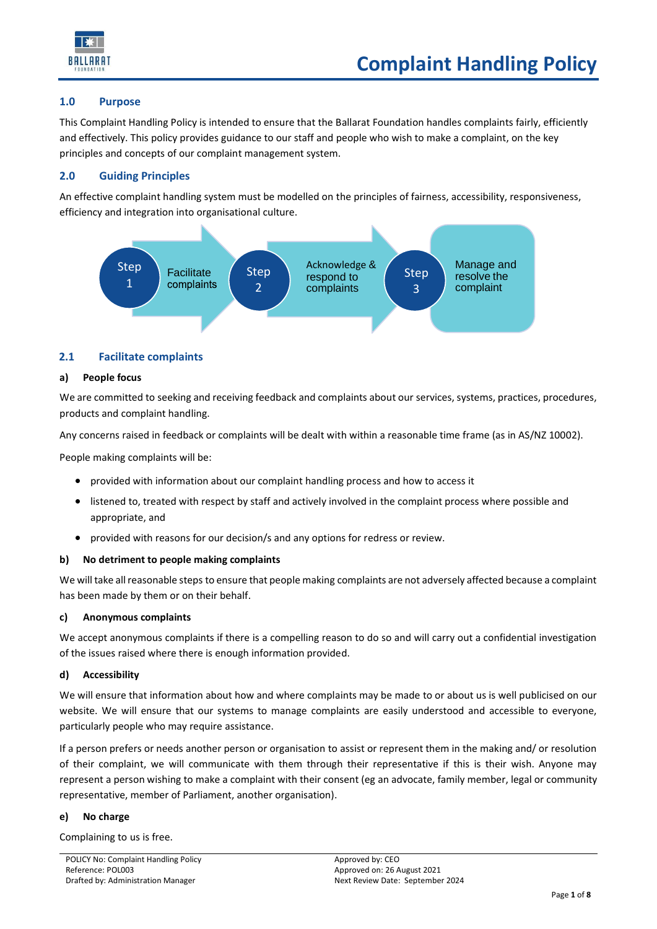

## **1.0 Purpose**

This Complaint Handling Policy is intended to ensure that the Ballarat Foundation handles complaints fairly, efficiently and effectively. This policy provides guidance to our staff and people who wish to make a complaint, on the key principles and concepts of our complaint management system.

# **2.0 Guiding Principles**

An effective complaint handling system must be modelled on the principles of fairness, accessibility, responsiveness, efficiency and integration into organisational culture.



# **2.1 Facilitate complaints**

## **a) People focus**

We are committed to seeking and receiving feedback and complaints about our services, systems, practices, procedures, products and complaint handling.

Any concerns raised in feedback or complaints will be dealt with within a reasonable time frame (as in AS/NZ 10002).

People making complaints will be:

- provided with information about our complaint handling process and how to access it
- listened to, treated with respect by staff and actively involved in the complaint process where possible and appropriate, and
- provided with reasons for our decision/s and any options for redress or review.

## **b) No detriment to people making complaints**

We will take all reasonable steps to ensure that people making complaints are not adversely affected because a complaint has been made by them or on their behalf.

## **c) Anonymous complaints**

We accept anonymous complaints if there is a compelling reason to do so and will carry out a confidential investigation of the issues raised where there is enough information provided.

## **d) Accessibility**

We will ensure that information about how and where complaints may be made to or about us is well publicised on our website. We will ensure that our systems to manage complaints are easily understood and accessible to everyone, particularly people who may require assistance.

If a person prefers or needs another person or organisation to assist or represent them in the making and/ or resolution of their complaint, we will communicate with them through their representative if this is their wish. Anyone may represent a person wishing to make a complaint with their consent (eg an advocate, family member, legal or community representative, member of Parliament, another organisation).

## **e) No charge**

Complaining to us is free.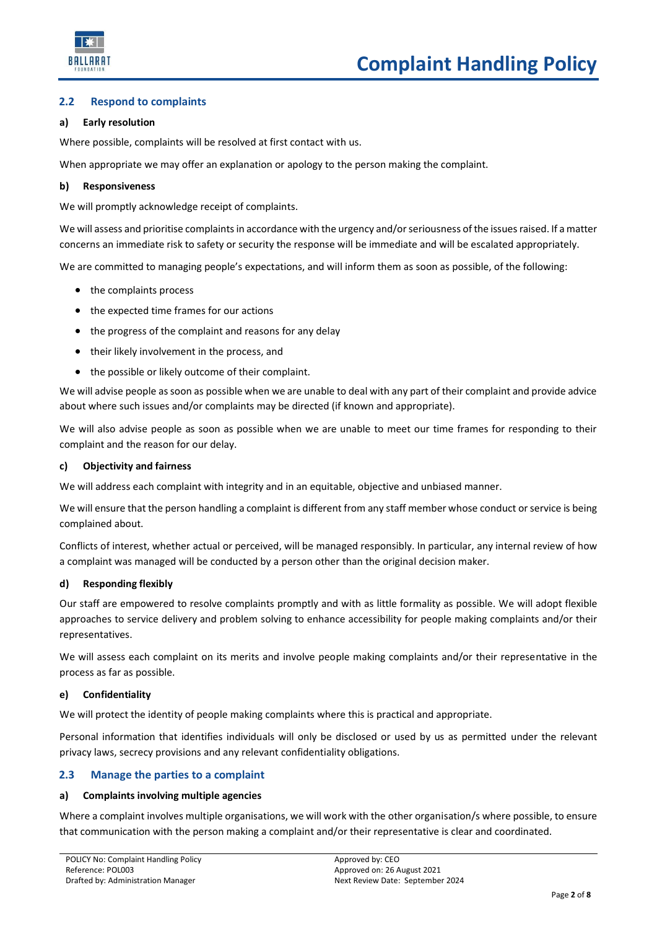

# **2.2 Respond to complaints**

## **a) Early resolution**

Where possible, complaints will be resolved at first contact with us.

When appropriate we may offer an explanation or apology to the person making the complaint.

## **b) Responsiveness**

We will promptly acknowledge receipt of complaints.

We will assess and prioritise complaints in accordance with the urgency and/or seriousness of the issues raised. If a matter concerns an immediate risk to safety or security the response will be immediate and will be escalated appropriately.

We are committed to managing people's expectations, and will inform them as soon as possible, of the following:

- the complaints process
- the expected time frames for our actions
- the progress of the complaint and reasons for any delay
- their likely involvement in the process, and
- the possible or likely outcome of their complaint.

We will advise people as soon as possible when we are unable to deal with any part of their complaint and provide advice about where such issues and/or complaints may be directed (if known and appropriate).

We will also advise people as soon as possible when we are unable to meet our time frames for responding to their complaint and the reason for our delay.

## **c) Objectivity and fairness**

We will address each complaint with integrity and in an equitable, objective and unbiased manner.

We will ensure that the person handling a complaint is different from any staff member whose conduct or service is being complained about.

Conflicts of interest, whether actual or perceived, will be managed responsibly. In particular, any internal review of how a complaint was managed will be conducted by a person other than the original decision maker.

## **d) Responding flexibly**

Our staff are empowered to resolve complaints promptly and with as little formality as possible. We will adopt flexible approaches to service delivery and problem solving to enhance accessibility for people making complaints and/or their representatives.

We will assess each complaint on its merits and involve people making complaints and/or their representative in the process as far as possible.

## **e) Confidentiality**

We will protect the identity of people making complaints where this is practical and appropriate.

Personal information that identifies individuals will only be disclosed or used by us as permitted under the relevant privacy laws, secrecy provisions and any relevant confidentiality obligations.

## **2.3 Manage the parties to a complaint**

## **a) Complaints involving multiple agencies**

Where a complaint involves multiple organisations, we will work with the other organisation/s where possible, to ensure that communication with the person making a complaint and/or their representative is clear and coordinated.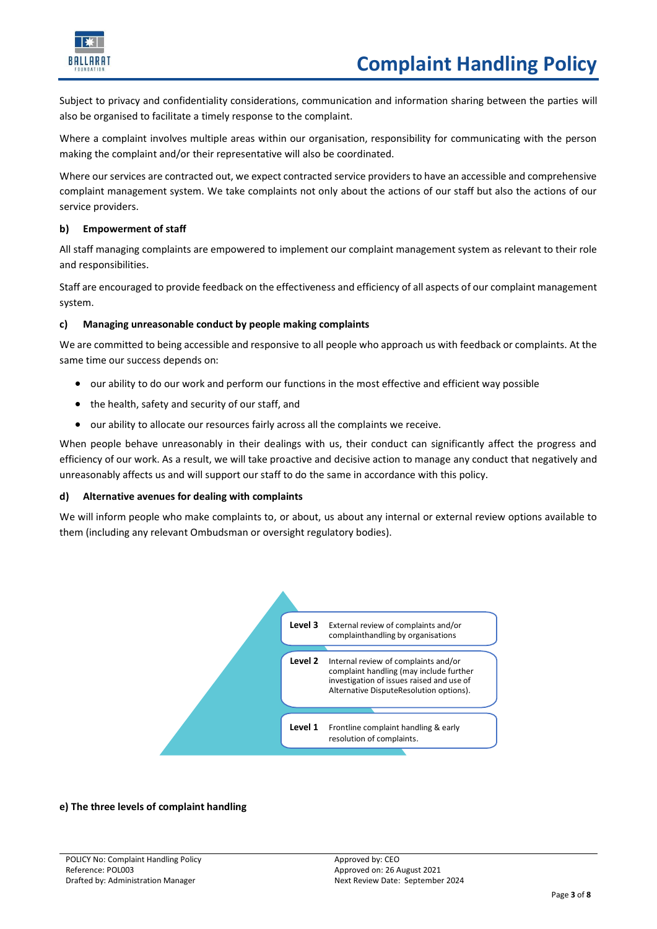

Subject to privacy and confidentiality considerations, communication and information sharing between the parties will also be organised to facilitate a timely response to the complaint.

Where a complaint involves multiple areas within our organisation, responsibility for communicating with the person making the complaint and/or their representative will also be coordinated.

Where our services are contracted out, we expect contracted service providers to have an accessible and comprehensive complaint management system. We take complaints not only about the actions of our staff but also the actions of our service providers.

## **b) Empowerment of staff**

All staff managing complaints are empowered to implement our complaint management system as relevant to their role and responsibilities.

Staff are encouraged to provide feedback on the effectiveness and efficiency of all aspects of our complaint management system.

# **c) Managing unreasonable conduct by people making complaints**

We are committed to being accessible and responsive to all people who approach us with feedback or complaints. At the same time our success depends on:

- our ability to do our work and perform our functions in the most effective and efficient way possible
- the health, safety and security of our staff, and
- our ability to allocate our resources fairly across all the complaints we receive.

When people behave unreasonably in their dealings with us, their conduct can significantly affect the progress and efficiency of our work. As a result, we will take proactive and decisive action to manage any conduct that negatively and unreasonably affects us and will support our staff to do the same in accordance with this policy.

## **d) Alternative avenues for dealing with complaints**

We will inform people who make complaints to, or about, us about any internal or external review options available to them (including any relevant Ombudsman or oversight regulatory bodies).



## **e) The three levels of complaint handling**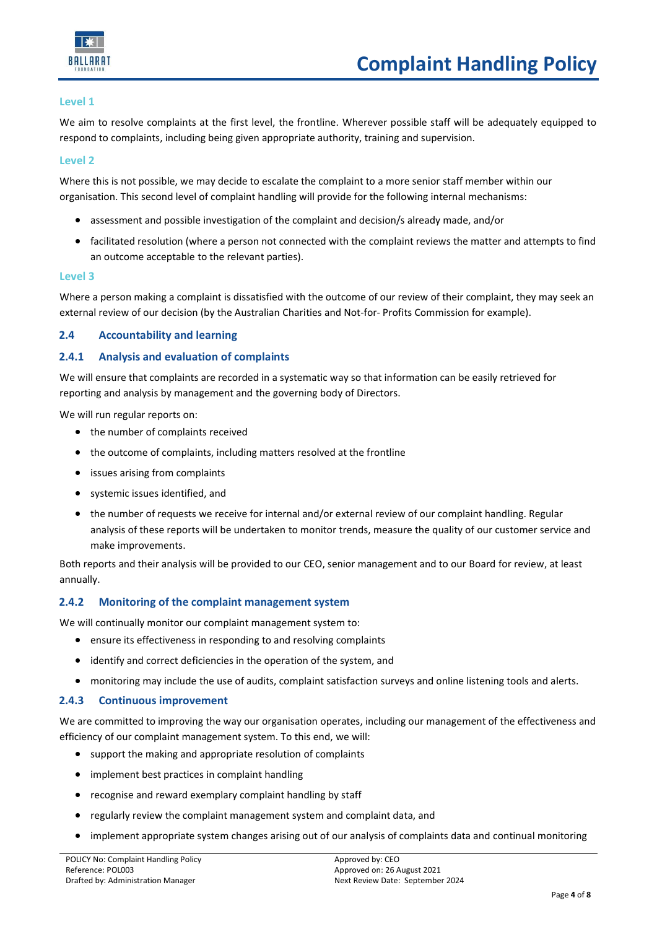

### **Level 1**

We aim to resolve complaints at the first level, the frontline. Wherever possible staff will be adequately equipped to respond to complaints, including being given appropriate authority, training and supervision.

#### **Level 2**

Where this is not possible, we may decide to escalate the complaint to a more senior staff member within our organisation. This second level of complaint handling will provide for the following internal mechanisms:

- assessment and possible investigation of the complaint and decision/s already made, and/or
- facilitated resolution (where a person not connected with the complaint reviews the matter and attempts to find an outcome acceptable to the relevant parties).

#### **Level 3**

Where a person making a complaint is dissatisfied with the outcome of our review of their complaint, they may seek an external review of our decision (by the Australian Charities and Not-for- Profits Commission for example).

## **2.4 Accountability and learning**

## **2.4.1 Analysis and evaluation of complaints**

We will ensure that complaints are recorded in a systematic way so that information can be easily retrieved for reporting and analysis by management and the governing body of Directors.

We will run regular reports on:

- the number of complaints received
- the outcome of complaints, including matters resolved at the frontline
- issues arising from complaints
- systemic issues identified, and
- the number of requests we receive for internal and/or external review of our complaint handling. Regular analysis of these reports will be undertaken to monitor trends, measure the quality of our customer service and make improvements.

Both reports and their analysis will be provided to our CEO, senior management and to our Board for review, at least annually.

## **2.4.2 Monitoring of the complaint management system**

We will continually monitor our complaint management system to:

- ensure its effectiveness in responding to and resolving complaints
- identify and correct deficiencies in the operation of the system, and
- monitoring may include the use of audits, complaint satisfaction surveys and online listening tools and alerts.

# **2.4.3 Continuous improvement**

We are committed to improving the way our organisation operates, including our management of the effectiveness and efficiency of our complaint management system. To this end, we will:

- support the making and appropriate resolution of complaints
- implement best practices in complaint handling
- recognise and reward exemplary complaint handling by staff
- regularly review the complaint management system and complaint data, and
- implement appropriate system changes arising out of our analysis of complaints data and continual monitoring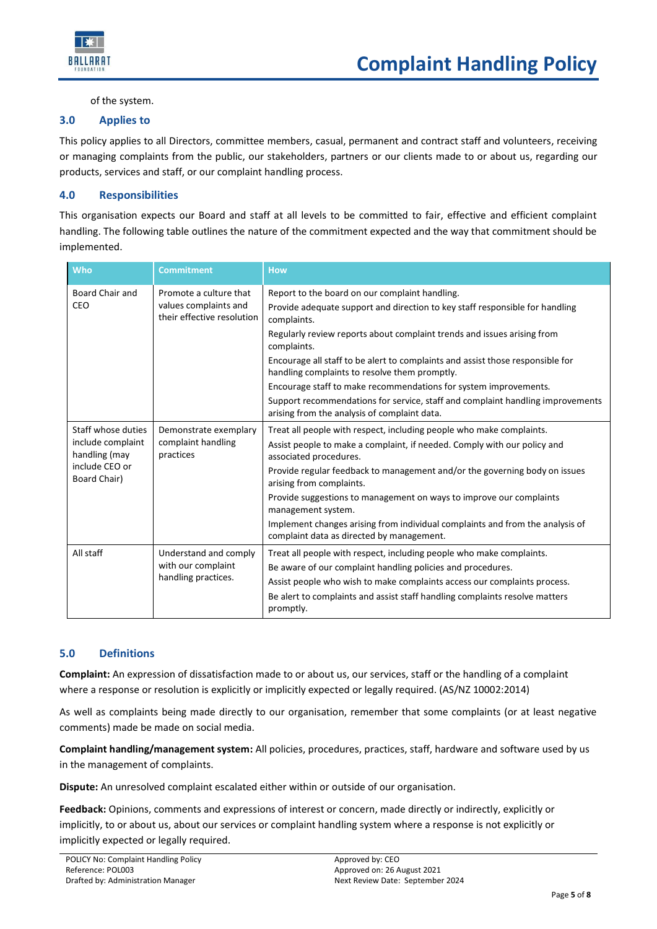

of the system.

# **3.0 Applies to**

This policy applies to all Directors, committee members, casual, permanent and contract staff and volunteers, receiving or managing complaints from the public, our stakeholders, partners or our clients made to or about us, regarding our products, services and staff, or our complaint handling process.

# **4.0 Responsibilities**

This organisation expects our Board and staff at all levels to be committed to fair, effective and efficient complaint handling. The following table outlines the nature of the commitment expected and the way that commitment should be implemented.

| Who                                                                                        | <b>Commitment</b>                                                             | <b>How</b>                                                                                                                      |
|--------------------------------------------------------------------------------------------|-------------------------------------------------------------------------------|---------------------------------------------------------------------------------------------------------------------------------|
| Board Chair and<br>CEO                                                                     | Promote a culture that<br>values complaints and<br>their effective resolution | Report to the board on our complaint handling.                                                                                  |
|                                                                                            |                                                                               | Provide adequate support and direction to key staff responsible for handling<br>complaints.                                     |
|                                                                                            |                                                                               | Regularly review reports about complaint trends and issues arising from<br>complaints.                                          |
|                                                                                            |                                                                               | Encourage all staff to be alert to complaints and assist those responsible for<br>handling complaints to resolve them promptly. |
|                                                                                            |                                                                               | Encourage staff to make recommendations for system improvements.                                                                |
|                                                                                            |                                                                               | Support recommendations for service, staff and complaint handling improvements<br>arising from the analysis of complaint data.  |
| Staff whose duties<br>include complaint<br>handling (may<br>include CEO or<br>Board Chair) | Demonstrate exemplary<br>complaint handling<br>practices                      | Treat all people with respect, including people who make complaints.                                                            |
|                                                                                            |                                                                               | Assist people to make a complaint, if needed. Comply with our policy and<br>associated procedures.                              |
|                                                                                            |                                                                               | Provide regular feedback to management and/or the governing body on issues<br>arising from complaints.                          |
|                                                                                            |                                                                               | Provide suggestions to management on ways to improve our complaints<br>management system.                                       |
|                                                                                            |                                                                               | Implement changes arising from individual complaints and from the analysis of<br>complaint data as directed by management.      |
| All staff                                                                                  | Understand and comply<br>with our complaint<br>handling practices.            | Treat all people with respect, including people who make complaints.                                                            |
|                                                                                            |                                                                               | Be aware of our complaint handling policies and procedures.                                                                     |
|                                                                                            |                                                                               | Assist people who wish to make complaints access our complaints process.                                                        |
|                                                                                            |                                                                               | Be alert to complaints and assist staff handling complaints resolve matters<br>promptly.                                        |

# **5.0 Definitions**

**Complaint:** An expression of dissatisfaction made to or about us, our services, staff or the handling of a complaint where a response or resolution is explicitly or implicitly expected or legally required. (AS/NZ 10002:2014)

As well as complaints being made directly to our organisation, remember that some complaints (or at least negative comments) made be made on social media.

**Complaint handling/management system:** All policies, procedures, practices, staff, hardware and software used by us in the management of complaints.

**Dispute:** An unresolved complaint escalated either within or outside of our organisation.

**Feedback:** Opinions, comments and expressions of interest or concern, made directly or indirectly, explicitly or implicitly, to or about us, about our services or complaint handling system where a response is not explicitly or implicitly expected or legally required.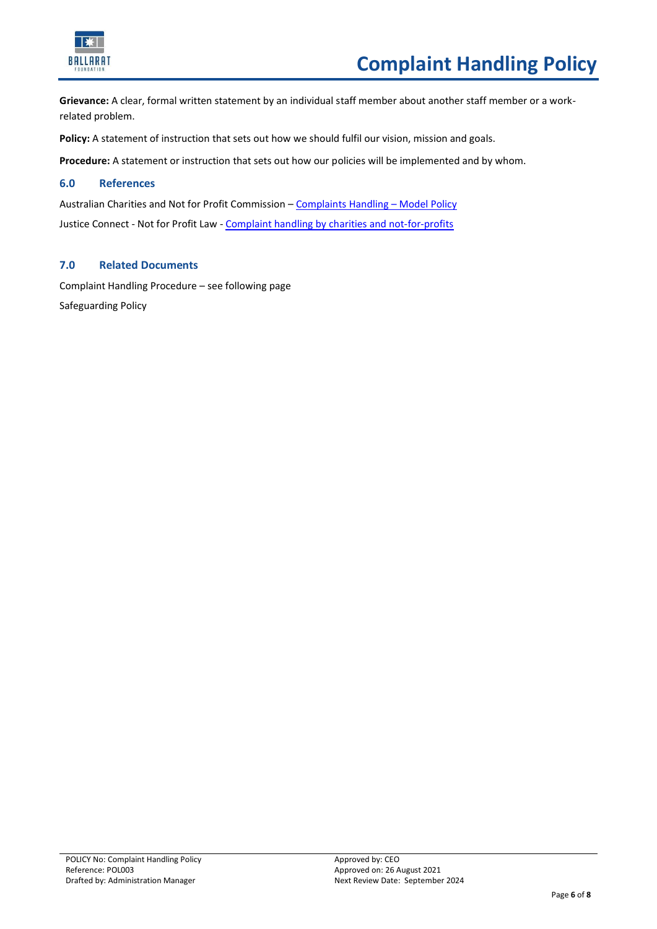

**Grievance:** A clear, formal written statement by an individual staff member about another staff member or a workrelated problem.

**Policy:** A statement of instruction that sets out how we should fulfil our vision, mission and goals.

**Procedure:** A statement or instruction that sets out how our policies will be implemented and by whom.

# **6.0 References**

Australian Charities and Not for Profit Commission – [Complaints Handling](https://www.acnc.gov.au/tools/templates/complaints-handling-model-policy-and-procedure) – Model Policy Justice Connect - Not for Profit Law - [Complaint handling by charities and not-for-profits](https://www.nfplaw.org.au/complainthandling)

# **7.0 Related Documents**

Complaint Handling Procedure – see following page Safeguarding Policy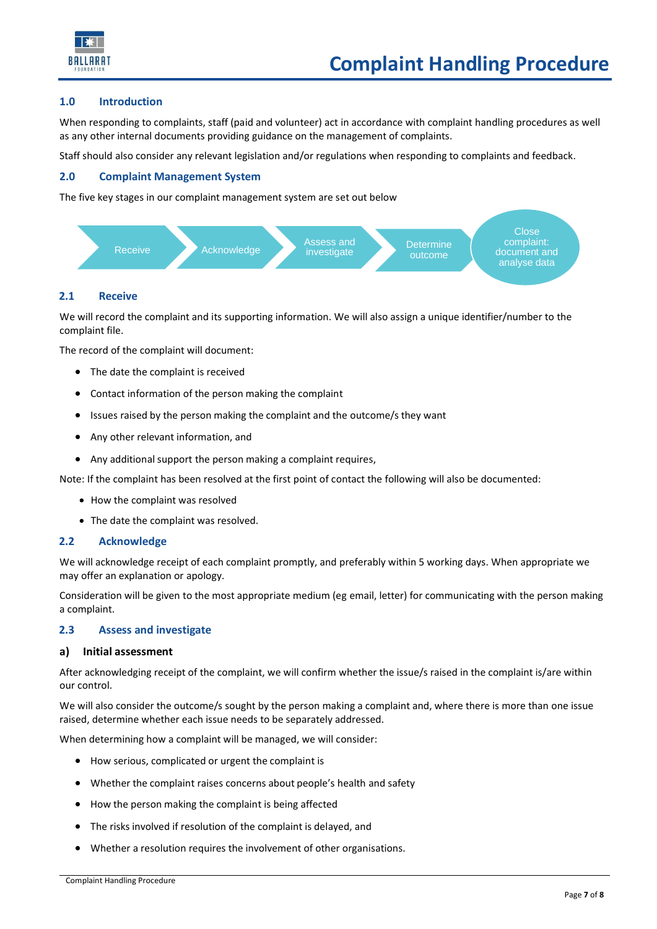

#### **1.0 Introduction**

When responding to complaints, staff (paid and volunteer) act in accordance with complaint handling procedures as well as any other internal documents providing guidance on the management of complaints.

Staff should also consider any relevant legislation and/or regulations when responding to complaints and feedback.

### **2.0 Complaint Management System**

The five key stages in our complaint management system are set out below



#### **2.1 Receive**

We will record the complaint and its supporting information. We will also assign a unique identifier/number to the complaint file.

The record of the complaint will document:

- The date the complaint is received
- Contact information of the person making the complaint
- Issues raised by the person making the complaint and the outcome/s they want
- Any other relevant information, and
- Any additional support the person making a complaint requires,

Note: If the complaint has been resolved at the first point of contact the following will also be documented:

- How the complaint was resolved
- The date the complaint was resolved.

#### **2.2 Acknowledge**

We will acknowledge receipt of each complaint promptly, and preferably within 5 working days. When appropriate we may offer an explanation or apology.

Consideration will be given to the most appropriate medium (eg email, letter) for communicating with the person making a complaint.

#### **2.3 Assess and investigate**

#### **a) Initial assessment**

After acknowledging receipt of the complaint, we will confirm whether the issue/s raised in the complaint is/are within our control.

We will also consider the outcome/s sought by the person making a complaint and, where there is more than one issue raised, determine whether each issue needs to be separately addressed.

When determining how a complaint will be managed, we will consider:

- How serious, complicated or urgent the complaint is
- Whether the complaint raises concerns about people's health and safety
- How the person making the complaint is being affected
- The risks involved if resolution of the complaint is delayed, and
- Whether a resolution requires the involvement of other organisations.